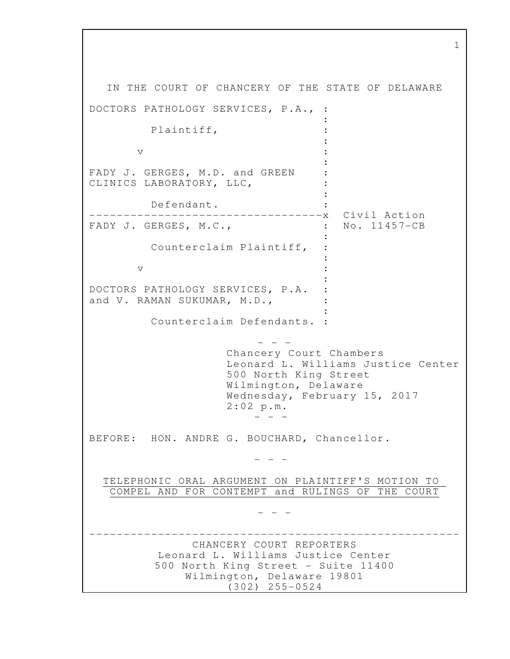IN THE COURT OF CHANCERY OF THE STATE OF DELAWARE DOCTORS PATHOLOGY SERVICES, P.A., : : 2002 - 2004 - 2005 Plaintiff, : **Example 2008** The Contract of Contract Contract Contract Contract Contract Contract Contract Contract Contract Contract Contract Contract Contract Contract Contract Contract Contract Contract Contract Contract Contract Co  $\mathbf v$  :  $\mathbf v$ **Example 2008** The Contract of Contract Contract Contract Contract Contract Contract Contract Contract Contract Contract Contract Contract Contract Contract Contract Contract Contract Contract Contract Contract Contract Co FADY J. GERGES, M.D. and GREEN : CLINICS LABORATORY, LLC, : 1999 (1999) (1999) Defendant. : ----------------------------------x Civil Action FADY J. GERGES, M.C., : No. 11457-CB : Counterclaim Plaintiff, : **Example 2008** The Contract of the Contract of the Contract of the Contract of the Contract of the Contract of the  $\mathbf v$  :  $\mathbf v$  :  $\mathbf v$  :  $\mathbf v$  :  $\mathbf v$  :  $\mathbf v$  :  $\mathbf v$  :  $\mathbf v$  :  $\mathbf v$  :  $\mathbf v$  :  $\mathbf v$  :  $\mathbf v$  :  $\mathbf v$  :  $\mathbf v$  :  $\mathbf v$  :  $\mathbf v$  :  $\mathbf v$  :  $\mathbf v$  :  $\mathbf v$  :  $\mathbf v$  :  $\mathbf v$  :  $\mathbf v$  :  $\mathbf v$  :  $\mathbf v$  :  $\mathbf v$ : 1999 (1999) (1999) DOCTORS PATHOLOGY SERVICES, P.A. : and V. RAMAN SUKUMAR, M.D., : 1999 (1999) (1999) Counterclaim Defendants. :  $-$  Chancery Court Chambers Leonard L. Williams Justice Center 500 North King Street Wilmington, Delaware Wednesday, February 15, 2017 2:02 p.m. - - - BEFORE: HON. ANDRE G. BOUCHARD, Chancellor. - - - TELEPHONIC ORAL ARGUMENT ON PLAINTIFF'S MOTION TO COMPEL AND FOR CONTEMPT and RULINGS OF THE COURT - - - ------------------------------------------------------ CHANCERY COURT REPORTERS Leonard L. Williams Justice Center 500 North King Street - Suite 11400 Wilmington, Delaware 19801 (302) 255-0524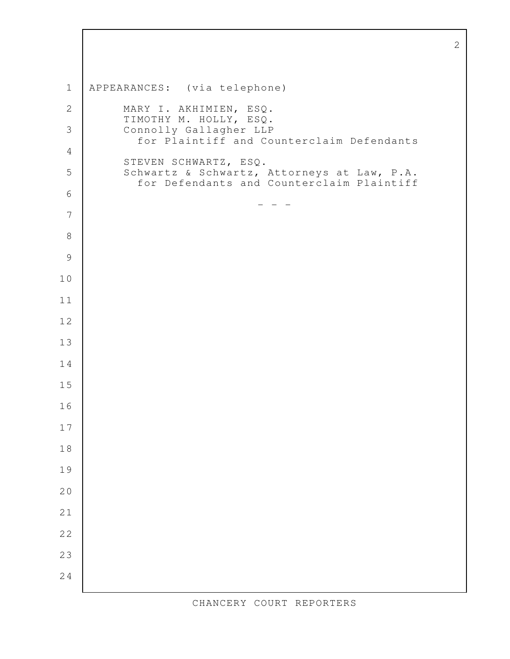APPEARANCES: (via telephone) MARY I. AKHIMIEN, ESQ. TIMOTHY M. HOLLY, ESQ. Connolly Gallagher LLP for Plaintiff and Counterclaim Defendants STEVEN SCHWARTZ, ESQ. Schwartz & Schwartz, Attorneys at Law, P.A. for Defendants and Counterclaim Plaintiff - - -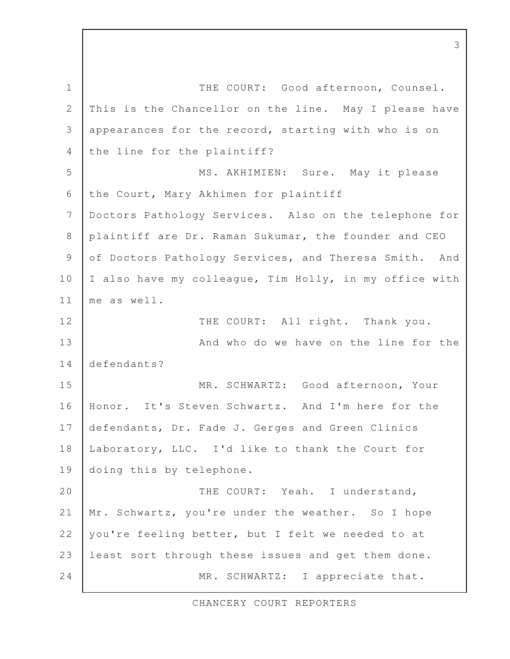THE COURT: Good afternoon, Counsel. This is the Chancellor on the line. May I please have appearances for the record, starting with who is on the line for the plaintiff? MS. AKHIMIEN: Sure. May it please the Court, Mary Akhimen for plaintiff Doctors Pathology Services. Also on the telephone for plaintiff are Dr. Raman Sukumar, the founder and CEO of Doctors Pathology Services, and Theresa Smith. And I also have my colleague, Tim Holly, in my office with me as well. THE COURT: All right. Thank you. And who do we have on the line for the defendants? MR. SCHWARTZ: Good afternoon, Your Honor. It's Steven Schwartz. And I'm here for the defendants, Dr. Fade J. Gerges and Green Clinics Laboratory, LLC. I'd like to thank the Court for doing this by telephone. THE COURT: Yeah. I understand, Mr. Schwartz, you're under the weather. So I hope you're feeling better, but I felt we needed to at least sort through these issues and get them done. MR. SCHWARTZ: I appreciate that. 1 2 3 4 5 6 7 8 9 10 11 12 13 14 15 16 17 18 19 20 21 22 23 24

CHANCERY COURT REPORTERS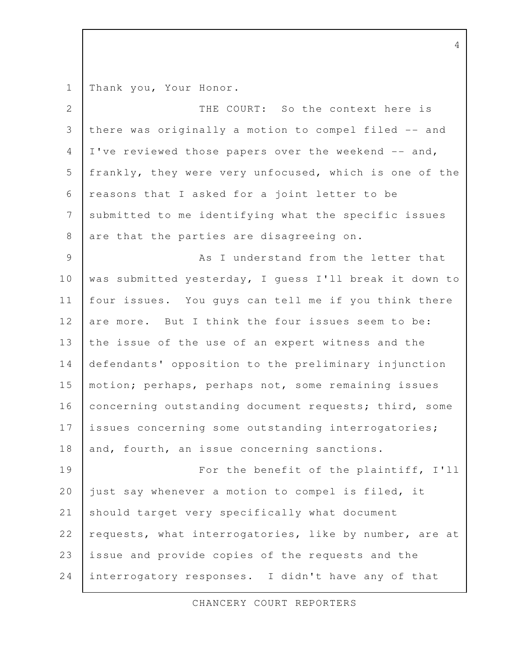Thank you, Your Honor. 1

| $\overline{2}$ | THE COURT: So the context here is                      |
|----------------|--------------------------------------------------------|
| 3              | there was originally a motion to compel filed -- and   |
| $\overline{4}$ | I've reviewed those papers over the weekend -- and,    |
| 5              | frankly, they were very unfocused, which is one of the |
| 6              | reasons that I asked for a joint letter to be          |
| $\overline{7}$ | submitted to me identifying what the specific issues   |
| $\,8\,$        | are that the parties are disagreeing on.               |
| 9              | As I understand from the letter that                   |
| 10             | was submitted yesterday, I guess I'll break it down to |
| 11             | four issues. You guys can tell me if you think there   |
| 12             | are more. But I think the four issues seem to be:      |
| 13             | the issue of the use of an expert witness and the      |
| 14             | defendants' opposition to the preliminary injunction   |
| 15             | motion; perhaps, perhaps not, some remaining issues    |
| 16             | concerning outstanding document requests; third, some  |
| 17             | issues concerning some outstanding interrogatories;    |
| 18             | and, fourth, an issue concerning sanctions.            |
| 19             | For the benefit of the plaintiff, I'll                 |
| 20             | just say whenever a motion to compel is filed, it      |
| 21             | should target very specifically what document          |
| 22             | requests, what interrogatories, like by number, are at |
| 23             | issue and provide copies of the requests and the       |
| 24             | interrogatory responses. I didn't have any of that     |

CHANCERY COURT REPORTERS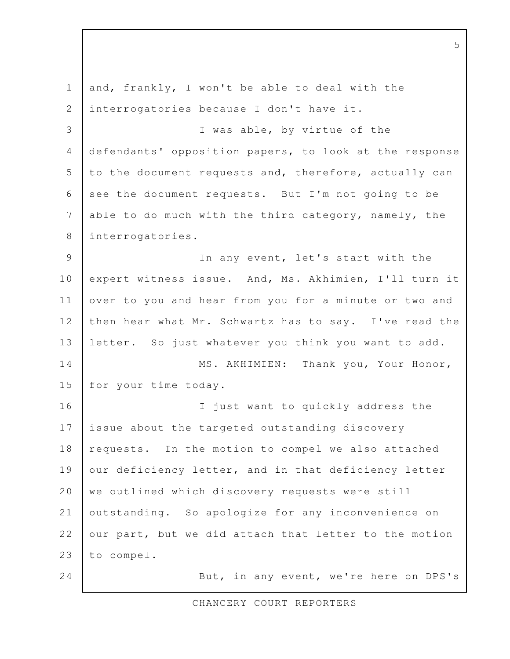| $\mathbf{1}$   | and, frankly, I won't be able to deal with the         |
|----------------|--------------------------------------------------------|
| $\mathbf{2}$   | interrogatories because I don't have it.               |
| 3              | I was able, by virtue of the                           |
| 4              | defendants' opposition papers, to look at the response |
| 5              | to the document requests and, therefore, actually can  |
| 6              | see the document requests. But I'm not going to be     |
| 7              | able to do much with the third category, namely, the   |
| 8              | interrogatories.                                       |
| $\overline{9}$ | In any event, let's start with the                     |
| 10             | expert witness issue. And, Ms. Akhimien, I'll turn it  |
| 11             | over to you and hear from you for a minute or two and  |
| 12             | then hear what Mr. Schwartz has to say. I've read the  |
| 13             | letter. So just whatever you think you want to add.    |
| 14             | MS. AKHIMIEN: Thank you, Your Honor,                   |
| 15             | for your time today.                                   |
| 16             | I just want to quickly address the                     |
| 17             | issue about the targeted outstanding discovery         |
| 18             | requests. In the motion to compel we also attached     |
| 19             | our deficiency letter, and in that deficiency letter   |
| 20             | we outlined which discovery requests were still        |
| 21             | outstanding. So apologize for any inconvenience on     |
| 22             | our part, but we did attach that letter to the motion  |
| 23             | to compel.                                             |
| 24             | But, in any event, we're here on DPS's                 |

5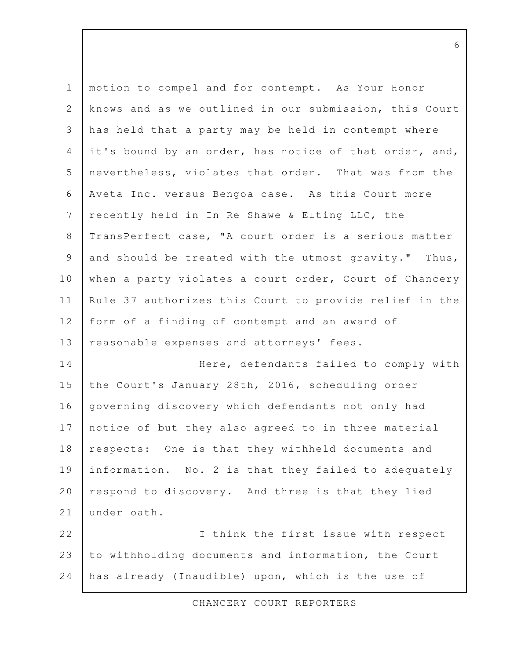| $\mathbf 1$     | motion to compel and for contempt. As Your Honor       |
|-----------------|--------------------------------------------------------|
| $\mathbf{2}$    | knows and as we outlined in our submission, this Court |
| 3               | has held that a party may be held in contempt where    |
| $\overline{4}$  | it's bound by an order, has notice of that order, and, |
| 5               | nevertheless, violates that order. That was from the   |
| 6               | Aveta Inc. versus Bengoa case. As this Court more      |
| $7\phantom{.0}$ | recently held in In Re Shawe & Elting LLC, the         |
| $\,8\,$         | TransPerfect case, "A court order is a serious matter  |
| $\mathsf 9$     | and should be treated with the utmost gravity." Thus,  |
| 10              | when a party violates a court order, Court of Chancery |
| 11              | Rule 37 authorizes this Court to provide relief in the |
| 12              | form of a finding of contempt and an award of          |
| 13              | reasonable expenses and attorneys' fees.               |
| 14              | Here, defendants failed to comply with                 |
| 15              | the Court's January 28th, 2016, scheduling order       |
| 16              | governing discovery which defendants not only had      |
| 17              | notice of but they also agreed to in three material    |
| 18              | respects: One is that they withheld documents and      |
| 19              | information. No. 2 is that they failed to adequately   |
| 20              | respond to discovery. And three is that they lied      |
| 21              | under oath.                                            |
| 22              | I think the first issue with respect                   |
| 23              | to withholding documents and information, the Court    |
| 24              | has already (Inaudible) upon, which is the use of      |

CHANCERY COURT REPORTERS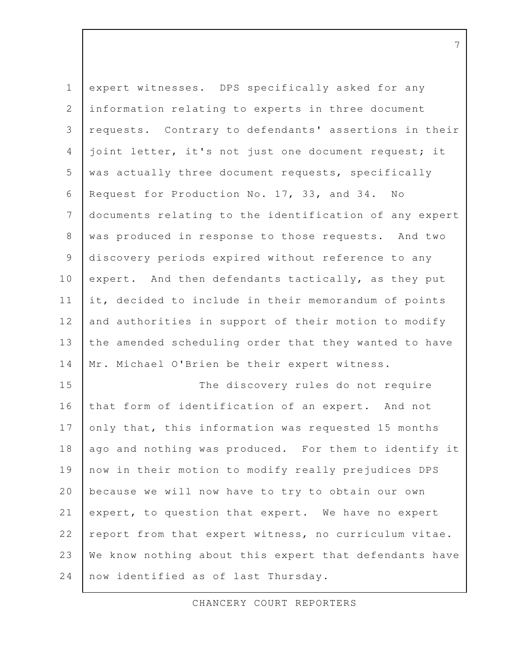| $\mathbf 1$    | expert witnesses. DPS specifically asked for any       |
|----------------|--------------------------------------------------------|
| $\mathbf{2}$   | information relating to experts in three document      |
| 3              | requests. Contrary to defendants' assertions in their  |
| $\overline{4}$ | joint letter, it's not just one document request; it   |
| 5              | was actually three document requests, specifically     |
| 6              | Request for Production No. 17, 33, and 34. No          |
| 7              | documents relating to the identification of any expert |
| $\,8\,$        | was produced in response to those requests. And two    |
| $\mathcal{G}$  | discovery periods expired without reference to any     |
| 10             | expert. And then defendants tactically, as they put    |
| 11             | it, decided to include in their memorandum of points   |
| 12             | and authorities in support of their motion to modify   |
| 13             | the amended scheduling order that they wanted to have  |
| 14             | Mr. Michael O'Brien be their expert witness.           |
| 15             | The discovery rules do not require                     |
| 16             | that form of identification of an expert. And not      |
| 17             | only that, this information was requested 15 months    |
| 18             | ago and nothing was produced. For them to identify it  |
| 19             | now in their motion to modify really prejudices DPS    |
| 20             | because we will now have to try to obtain our own      |
| 21             | expert, to question that expert. We have no expert     |
| 22             | report from that expert witness, no curriculum vitae.  |
| 23             | We know nothing about this expert that defendants have |
| 24             | now identified as of last Thursday.                    |

CHANCERY COURT REPORTERS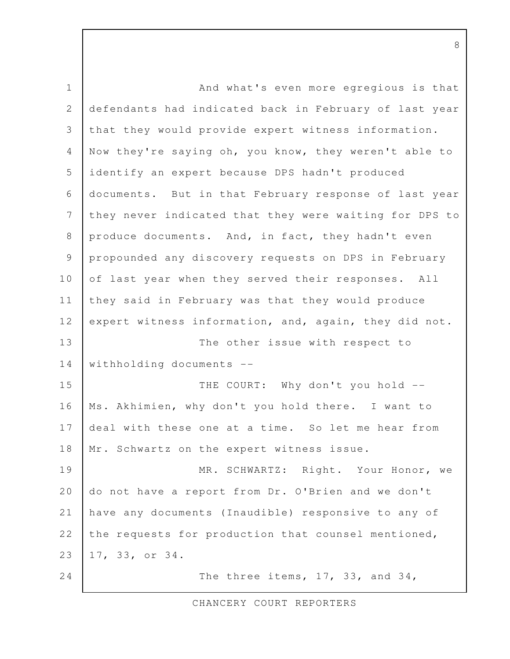And what's even more egregious is that defendants had indicated back in February of last year that they would provide expert witness information. Now they're saying oh, you know, they weren't able to identify an expert because DPS hadn't produced documents. But in that February response of last year they never indicated that they were waiting for DPS to produce documents. And, in fact, they hadn't even propounded any discovery requests on DPS in February of last year when they served their responses. All they said in February was that they would produce expert witness information, and, again, they did not. The other issue with respect to withholding documents -- THE COURT: Why don't you hold --Ms. Akhimien, why don't you hold there. I want to deal with these one at a time. So let me hear from Mr. Schwartz on the expert witness issue. MR. SCHWARTZ: Right. Your Honor, we do not have a report from Dr. O'Brien and we don't have any documents (Inaudible) responsive to any of the requests for production that counsel mentioned, 17, 33, or 34. The three items, 17, 33, and 34, 1 2 3 4 5 6 7 8 9 10 11 12 13 14 15 16 17 18 19 20 21 22 23 24

CHANCERY COURT REPORTERS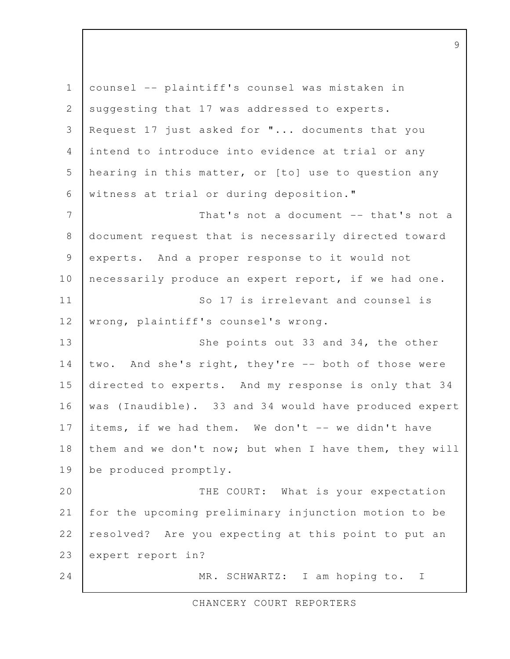counsel -- plaintiff's counsel was mistaken in suggesting that 17 was addressed to experts. Request 17 just asked for "... documents that you intend to introduce into evidence at trial or any hearing in this matter, or [to] use to question any witness at trial or during deposition." That's not a document -- that's not a document request that is necessarily directed toward experts. And a proper response to it would not necessarily produce an expert report, if we had one. So 17 is irrelevant and counsel is wrong, plaintiff's counsel's wrong. She points out 33 and 34, the other two. And she's right, they're -- both of those were directed to experts. And my response is only that 34 was (Inaudible). 33 and 34 would have produced expert items, if we had them. We don't -- we didn't have them and we don't now; but when I have them, they will be produced promptly. THE COURT: What is your expectation for the upcoming preliminary injunction motion to be resolved? Are you expecting at this point to put an expert report in? MR. SCHWARTZ: I am hoping to. I 1 2 3 4 5 6 7 8 9 10 11 12 13 14 15 16 17 18 19 20 21 22 23 24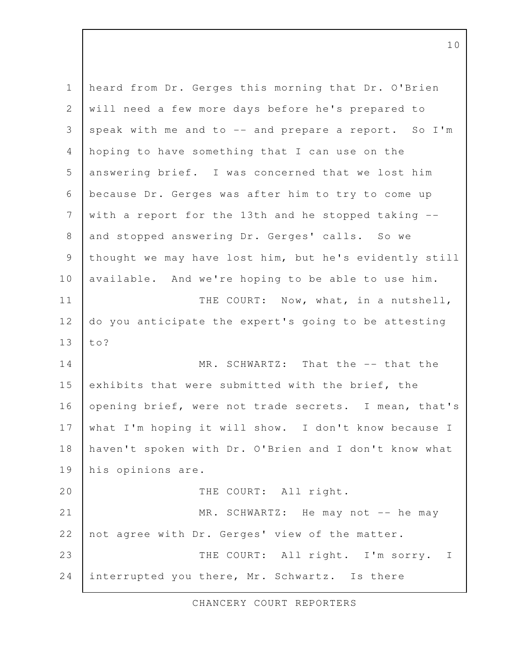heard from Dr. Gerges this morning that Dr. O'Brien will need a few more days before he's prepared to speak with me and to  $--$  and prepare a report. So I'm hoping to have something that I can use on the answering brief. I was concerned that we lost him because Dr. Gerges was after him to try to come up with a report for the 13th and he stopped taking - and stopped answering Dr. Gerges' calls. So we thought we may have lost him, but he's evidently still available. And we're hoping to be able to use him. THE COURT: Now, what, in a nutshell, do you anticipate the expert's going to be attesting to? MR. SCHWARTZ: That the -- that the exhibits that were submitted with the brief, the opening brief, were not trade secrets. I mean, that's what I'm hoping it will show. I don't know because I haven't spoken with Dr. O'Brien and I don't know what his opinions are. THE COURT: All right. MR. SCHWARTZ: He may not -- he may not agree with Dr. Gerges' view of the matter. THE COURT: All right. I'm sorry. I interrupted you there, Mr. Schwartz. Is there 1 2 3 4 5 6 7 8 9 10 11 12 13 14 15 16 17 18 19 20 21 22 23 24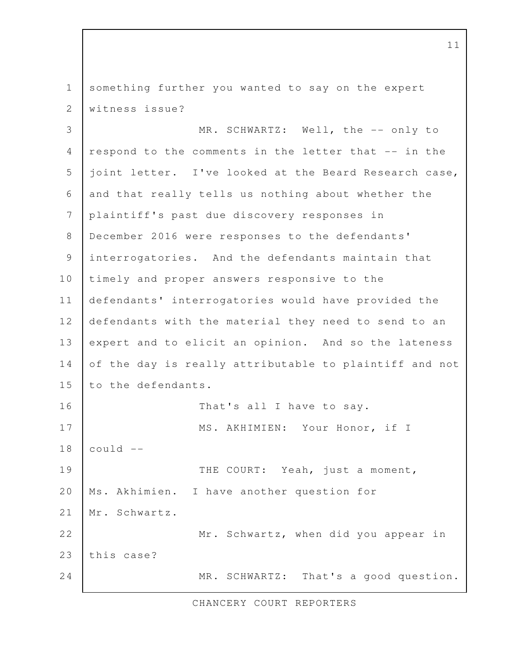something further you wanted to say on the expert witness issue? 1 2

MR. SCHWARTZ: Well, the -- only to respond to the comments in the letter that -- in the joint letter. I've looked at the Beard Research case, and that really tells us nothing about whether the plaintiff's past due discovery responses in December 2016 were responses to the defendants' interrogatories. And the defendants maintain that timely and proper answers responsive to the defendants' interrogatories would have provided the defendants with the material they need to send to an expert and to elicit an opinion. And so the lateness of the day is really attributable to plaintiff and not to the defendants. That's all I have to say. MS. AKHIMIEN: Your Honor, if I could -- THE COURT: Yeah, just a moment, Ms. Akhimien. I have another question for Mr. Schwartz. Mr. Schwartz, when did you appear in this case? MR. SCHWARTZ: That's a good question. 3 4 5 6 7 8 9 10 11 12 13 14 15 16 17 18 19 20 21 22 23 24

CHANCERY COURT REPORTERS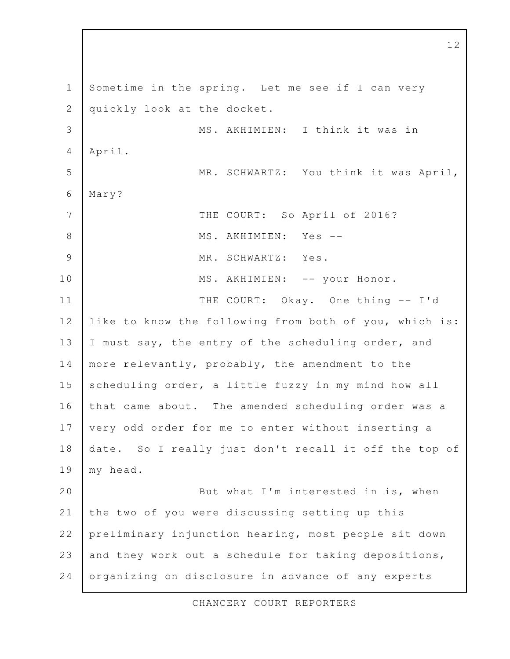Sometime in the spring. Let me see if I can very quickly look at the docket. MS. AKHIMIEN: I think it was in April. MR. SCHWARTZ: You think it was April, Mary? THE COURT: So April of 2016? MS. AKHIMIEN: Yes -- MR. SCHWARTZ: Yes. MS. AKHIMIEN: -- your Honor. THE COURT: Okay. One thing -- I'd like to know the following from both of you, which is: I must say, the entry of the scheduling order, and more relevantly, probably, the amendment to the scheduling order, a little fuzzy in my mind how all that came about. The amended scheduling order was a very odd order for me to enter without inserting a date. So I really just don't recall it off the top of my head. But what I'm interested in is, when the two of you were discussing setting up this preliminary injunction hearing, most people sit down and they work out a schedule for taking depositions, organizing on disclosure in advance of any experts 1 2 3 4 5 6 7 8 9 10 11 12 13 14 15 16 17 18 19 20 21 22 23 24

12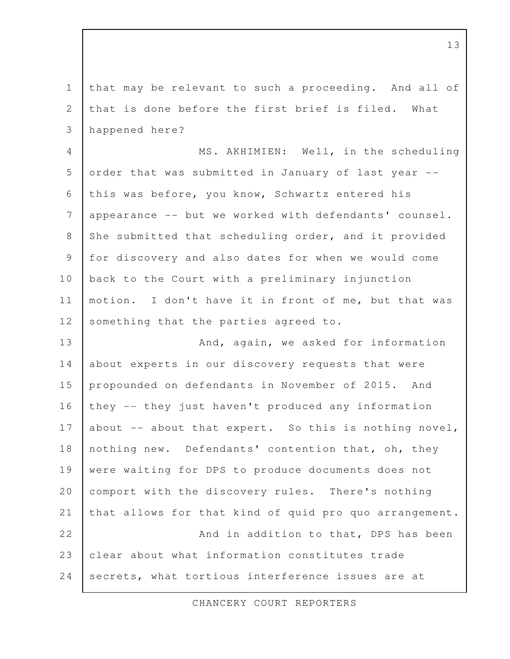that may be relevant to such a proceeding. And all of that is done before the first brief is filed. What happened here? MS. AKHIMIEN: Well, in the scheduling order that was submitted in January of last year - this was before, you know, Schwartz entered his appearance -- but we worked with defendants' counsel. She submitted that scheduling order, and it provided for discovery and also dates for when we would come back to the Court with a preliminary injunction motion. I don't have it in front of me, but that was something that the parties agreed to. And, again, we asked for information about experts in our discovery requests that were propounded on defendants in November of 2015. And they -- they just haven't produced any information about  $-$ - about that expert. So this is nothing novel, nothing new. Defendants' contention that, oh, they were waiting for DPS to produce documents does not comport with the discovery rules. There's nothing that allows for that kind of quid pro quo arrangement. And in addition to that, DPS has been clear about what information constitutes trade secrets, what tortious interference issues are at 1 2 3 4 5 6 7 8 9 10 11 12 13 14 15 16 17 18 19 20 21 22 23 24

CHANCERY COURT REPORTERS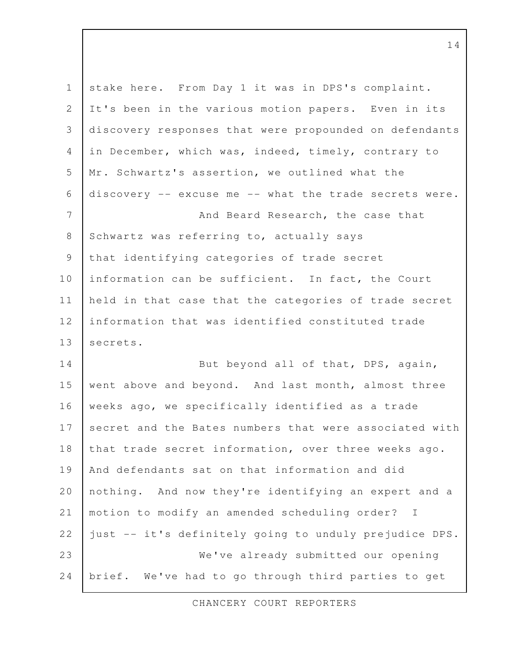| $\mathbf 1$    | stake here. From Day 1 it was in DPS's complaint.      |
|----------------|--------------------------------------------------------|
| 2              | It's been in the various motion papers. Even in its    |
| 3              | discovery responses that were propounded on defendants |
| 4              | in December, which was, indeed, timely, contrary to    |
| 5              | Mr. Schwartz's assertion, we outlined what the         |
| 6              | discovery -- excuse me -- what the trade secrets were. |
| $\overline{7}$ | And Beard Research, the case that                      |
| 8              | Schwartz was referring to, actually says               |
| 9              | that identifying categories of trade secret            |
| 10             | information can be sufficient. In fact, the Court      |
| 11             | held in that case that the categories of trade secret  |
| 12             | information that was identified constituted trade      |
| 13             | secrets.                                               |
| 14             | But beyond all of that, DPS, again,                    |
| 15             | went above and beyond. And last month, almost three    |
| 16             | weeks ago, we specifically identified as a trade       |
| 17             | secret and the Bates numbers that were associated with |
| 18             | that trade secret information, over three weeks ago.   |
| 19             | And defendants sat on that information and did         |
| 20             | nothing. And now they're identifying an expert and a   |
| 21             | motion to modify an amended scheduling order? I        |
| 22             | just -- it's definitely going to unduly prejudice DPS. |
| 23             | We've already submitted our opening                    |
| 24             | brief. We've had to go through third parties to get    |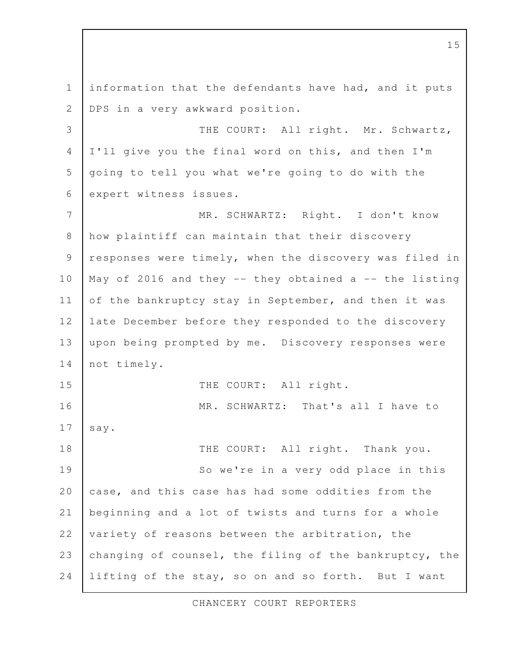information that the defendants have had, and it puts DPS in a very awkward position. THE COURT: All right. Mr. Schwartz, I'll give you the final word on this, and then I'm going to tell you what we're going to do with the expert witness issues. MR. SCHWARTZ: Right. I don't know how plaintiff can maintain that their discovery responses were timely, when the discovery was filed in May of 2016 and they  $--$  they obtained a  $--$  the listing of the bankruptcy stay in September, and then it was late December before they responded to the discovery upon being prompted by me. Discovery responses were not timely. THE COURT: All right. MR. SCHWARTZ: That's all I have to say. THE COURT: All right. Thank you. So we're in a very odd place in this case, and this case has had some oddities from the beginning and a lot of twists and turns for a whole variety of reasons between the arbitration, the changing of counsel, the filing of the bankruptcy, the lifting of the stay, so on and so forth. But I want 1 2 3 4 5 6 7 8 9 10 11 12 13 14 15 16 17 18 19 20 21 22 23 24

CHANCERY COURT REPORTERS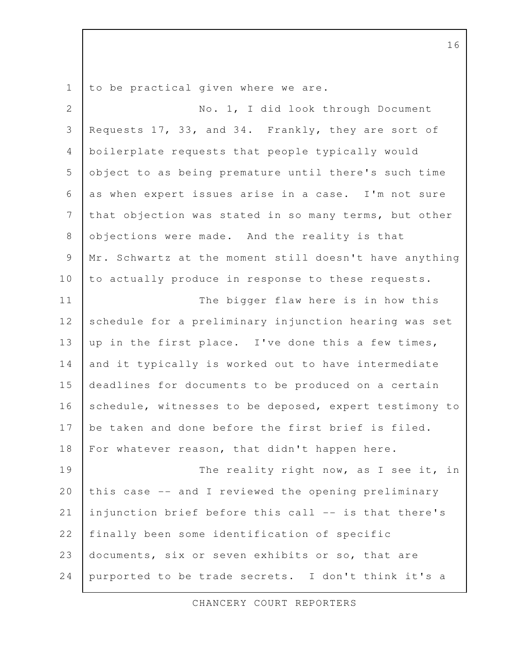to be practical given where we are. 1

No. 1, I did look through Document Requests 17, 33, and 34. Frankly, they are sort of boilerplate requests that people typically would object to as being premature until there's such time as when expert issues arise in a case. I'm not sure that objection was stated in so many terms, but other objections were made. And the reality is that Mr. Schwartz at the moment still doesn't have anything to actually produce in response to these requests. The bigger flaw here is in how this schedule for a preliminary injunction hearing was set up in the first place. I've done this a few times, and it typically is worked out to have intermediate deadlines for documents to be produced on a certain schedule, witnesses to be deposed, expert testimony to be taken and done before the first brief is filed. For whatever reason, that didn't happen here. The reality right now, as I see it, in this case -- and I reviewed the opening preliminary injunction brief before this call -- is that there's finally been some identification of specific documents, six or seven exhibits or so, that are purported to be trade secrets. I don't think it's a 2 3 4 5 6 7 8 9 10 11 12 13 14 15 16 17 18 19 20 21 22 23 24

CHANCERY COURT REPORTERS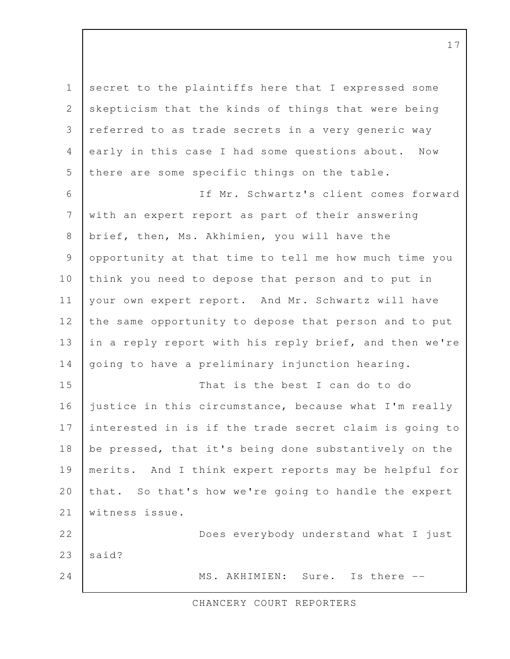secret to the plaintiffs here that I expressed some skepticism that the kinds of things that were being referred to as trade secrets in a very generic way early in this case I had some questions about. Now there are some specific things on the table. If Mr. Schwartz's client comes forward with an expert report as part of their answering brief, then, Ms. Akhimien, you will have the opportunity at that time to tell me how much time you think you need to depose that person and to put in your own expert report. And Mr. Schwartz will have the same opportunity to depose that person and to put in a reply report with his reply brief, and then we're going to have a preliminary injunction hearing. That is the best I can do to do justice in this circumstance, because what I'm really interested in is if the trade secret claim is going to be pressed, that it's being done substantively on the merits. And I think expert reports may be helpful for that. So that's how we're going to handle the expert witness issue. Does everybody understand what I just said? MS. AKHIMIEN: Sure. Is there -- 1 2 3 4 5 6 7 8 9 10 11 12 13 14 15 16 17 18 19 20 21 22 23 24

CHANCERY COURT REPORTERS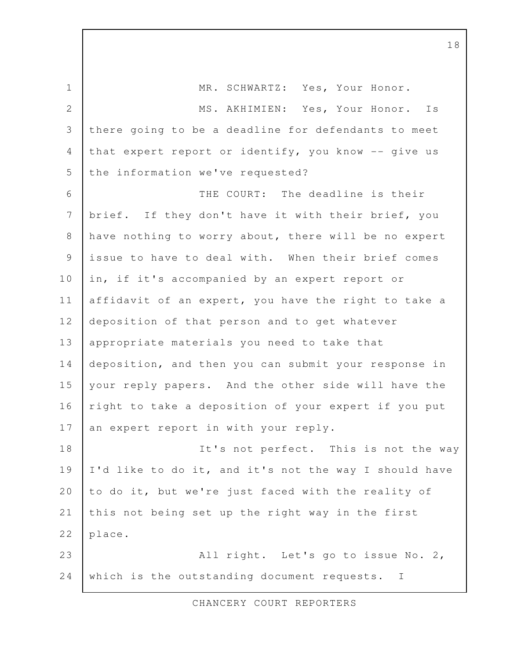MR. SCHWARTZ: Yes, Your Honor. MS. AKHIMIEN: Yes, Your Honor. Is there going to be a deadline for defendants to meet that expert report or identify, you know -- give us the information we've requested? THE COURT: The deadline is their brief. If they don't have it with their brief, you have nothing to worry about, there will be no expert issue to have to deal with. When their brief comes in, if it's accompanied by an expert report or affidavit of an expert, you have the right to take a deposition of that person and to get whatever appropriate materials you need to take that deposition, and then you can submit your response in your reply papers. And the other side will have the right to take a deposition of your expert if you put an expert report in with your reply. It's not perfect. This is not the way I'd like to do it, and it's not the way I should have to do it, but we're just faced with the reality of this not being set up the right way in the first place. All right. Let's go to issue No. 2, which is the outstanding document requests. I 1 2 3 4 5 6 7 8 9 10 11 12 13 14 15 16 17 18 19 20 21 22 23 24

CHANCERY COURT REPORTERS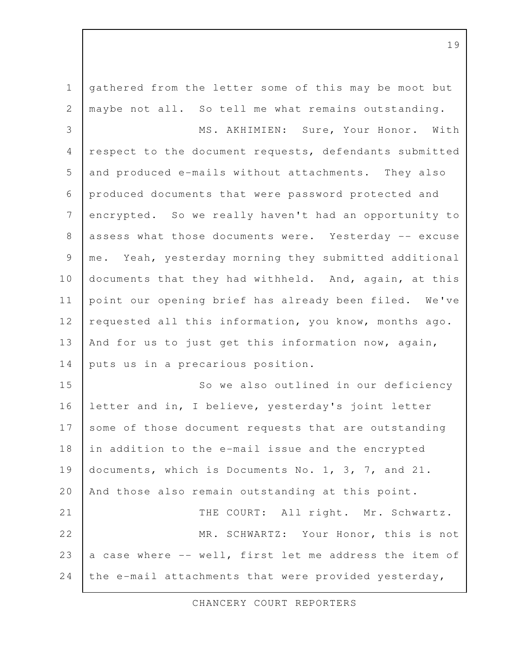gathered from the letter some of this may be moot but maybe not all. So tell me what remains outstanding. MS. AKHIMIEN: Sure, Your Honor. With respect to the document requests, defendants submitted and produced e-mails without attachments. They also produced documents that were password protected and encrypted. So we really haven't had an opportunity to assess what those documents were. Yesterday -- excuse me. Yeah, yesterday morning they submitted additional documents that they had withheld. And, again, at this point our opening brief has already been filed. We've requested all this information, you know, months ago. And for us to just get this information now, again, puts us in a precarious position. So we also outlined in our deficiency letter and in, I believe, yesterday's joint letter some of those document requests that are outstanding in addition to the e-mail issue and the encrypted documents, which is Documents No. 1, 3, 7, and 21. And those also remain outstanding at this point. THE COURT: All right. Mr. Schwartz. MR. SCHWARTZ: Your Honor, this is not a case where -- well, first let me address the item of the e-mail attachments that were provided yesterday, 1 2 3 4 5 6 7 8 9 10 11 12 13 14 15 16 17 18 19 20 21 22 23 24

CHANCERY COURT REPORTERS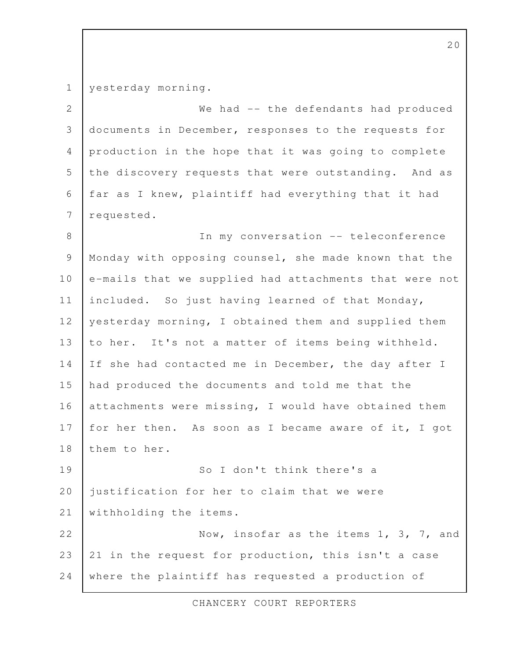yesterday morning. 1

We had -- the defendants had produced documents in December, responses to the requests for production in the hope that it was going to complete the discovery requests that were outstanding. And as far as I knew, plaintiff had everything that it had requested. 2 3 4 5 6 7

In my conversation -- teleconference Monday with opposing counsel, she made known that the e-mails that we supplied had attachments that were not included. So just having learned of that Monday, yesterday morning, I obtained them and supplied them to her. It's not a matter of items being withheld. If she had contacted me in December, the day after I had produced the documents and told me that the attachments were missing, I would have obtained them for her then. As soon as I became aware of it, I got them to her. 8 9 10 11 12 13 14 15 16 17 18

So I don't think there's a justification for her to claim that we were withholding the items. 19 20 21

Now, insofar as the items 1, 3, 7, and 21 in the request for production, this isn't a case where the plaintiff has requested a production of 22 23 24

CHANCERY COURT REPORTERS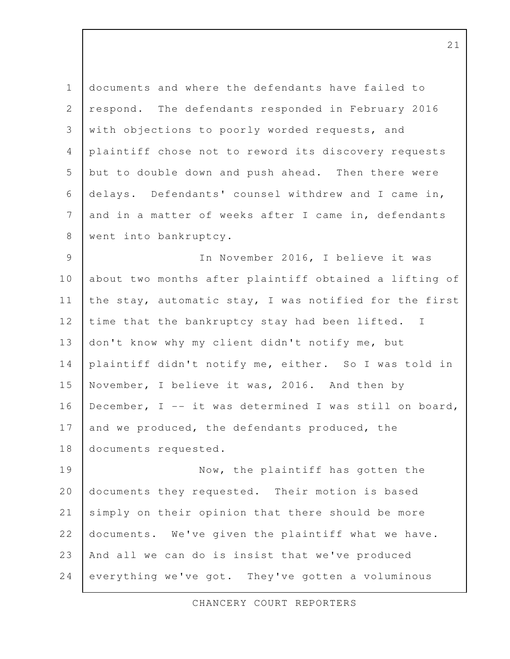documents and where the defendants have failed to respond. The defendants responded in February 2016 with objections to poorly worded requests, and plaintiff chose not to reword its discovery requests but to double down and push ahead. Then there were delays. Defendants' counsel withdrew and I came in, and in a matter of weeks after I came in, defendants went into bankruptcy. 1 2 3 4 5 6 7 8

In November 2016, I believe it was about two months after plaintiff obtained a lifting of the stay, automatic stay, I was notified for the first time that the bankruptcy stay had been lifted. I don't know why my client didn't notify me, but plaintiff didn't notify me, either. So I was told in November, I believe it was, 2016. And then by December, I -- it was determined I was still on board, and we produced, the defendants produced, the documents requested. 9 10 11 12 13 14 15 16 17 18

Now, the plaintiff has gotten the documents they requested. Their motion is based simply on their opinion that there should be more documents. We've given the plaintiff what we have. And all we can do is insist that we've produced everything we've got. They've gotten a voluminous 19 20 21 22 23 24

CHANCERY COURT REPORTERS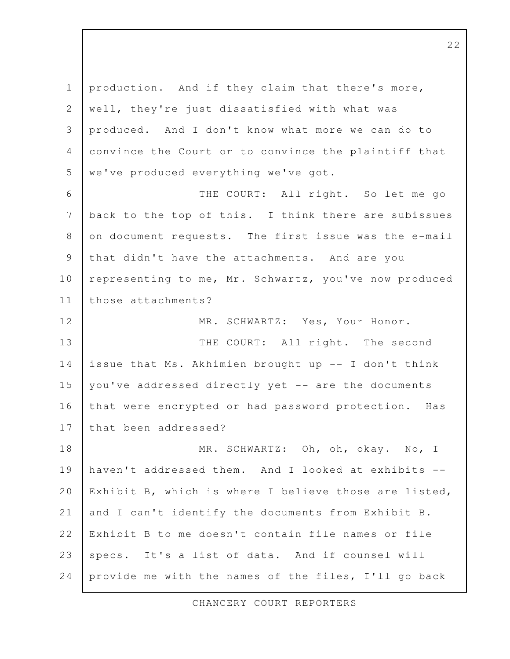production. And if they claim that there's more, well, they're just dissatisfied with what was produced. And I don't know what more we can do to convince the Court or to convince the plaintiff that we've produced everything we've got. THE COURT: All right. So let me go back to the top of this. I think there are subissues on document requests. The first issue was the e-mail that didn't have the attachments. And are you representing to me, Mr. Schwartz, you've now produced those attachments? MR. SCHWARTZ: Yes, Your Honor. THE COURT: All right. The second issue that Ms. Akhimien brought up -- I don't think you've addressed directly yet -- are the documents that were encrypted or had password protection. Has that been addressed? MR. SCHWARTZ: Oh, oh, okay. No, I haven't addressed them. And I looked at exhibits -- Exhibit B, which is where I believe those are listed, and I can't identify the documents from Exhibit B. Exhibit B to me doesn't contain file names or file specs. It's a list of data. And if counsel will provide me with the names of the files, I'll go back 1 2 3 4 5 6 7 8 9 10 11 12 13 14 15 16 17 18 19 20 21 22 23 24

CHANCERY COURT REPORTERS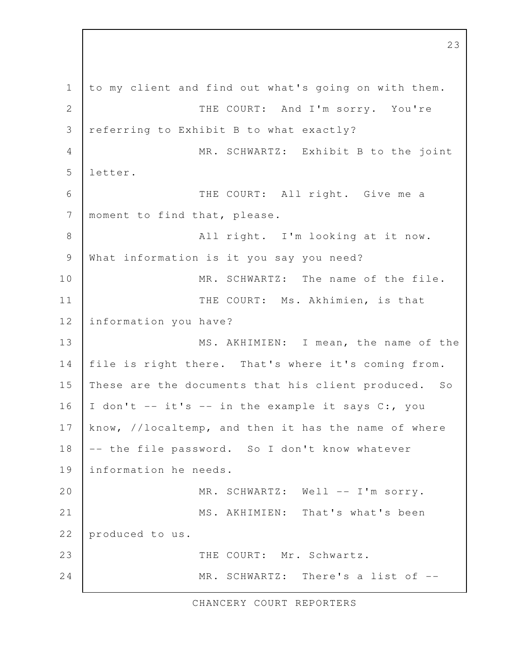to my client and find out what's going on with them. THE COURT: And I'm sorry. You're referring to Exhibit B to what exactly? MR. SCHWARTZ: Exhibit B to the joint letter. THE COURT: All right. Give me a moment to find that, please. All right. I'm looking at it now. What information is it you say you need? MR. SCHWARTZ: The name of the file. THE COURT: Ms. Akhimien, is that information you have? MS. AKHIMIEN: I mean, the name of the file is right there. That's where it's coming from. These are the documents that his client produced. So I don't -- it's -- in the example it says C:, you know, //localtemp, and then it has the name of where -- the file password. So I don't know whatever information he needs. MR. SCHWARTZ: Well -- I'm sorry. MS. AKHIMIEN: That's what's been produced to us. THE COURT: Mr. Schwartz. MR. SCHWARTZ: There's a list of -- 1 2 3 4 5 6 7 8 9 10 11 12 13 14 15 16 17 18 19 20 21 22 23 24

CHANCERY COURT REPORTERS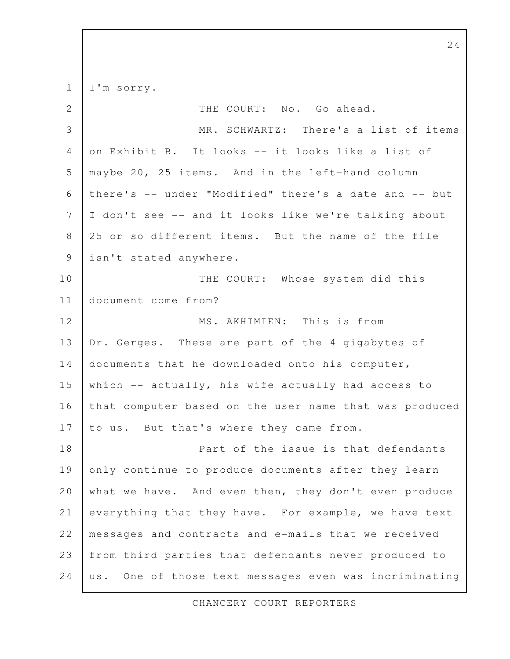I'm sorry. 1

| $\mathbf{2}$   | THE COURT: No. Go ahead.                                 |
|----------------|----------------------------------------------------------|
| 3              | MR. SCHWARTZ: There's a list of items                    |
| $\overline{4}$ | on Exhibit B. It looks -- it looks like a list of        |
| 5              | maybe 20, 25 items. And in the left-hand column          |
| 6              | there's -- under "Modified" there's a date and -- but    |
| 7              | I don't see -- and it looks like we're talking about     |
| $\,8\,$        | 25 or so different items. But the name of the file       |
| $\mathcal{G}$  | isn't stated anywhere.                                   |
| 10             | THE COURT: Whose system did this                         |
| 11             | document come from?                                      |
| 12             | MS. AKHIMIEN: This is from                               |
| 13             | Dr. Gerges. These are part of the 4 gigabytes of         |
| 14             | documents that he downloaded onto his computer,          |
| 15             | which -- actually, his wife actually had access to       |
| 16             | that computer based on the user name that was produced   |
| 17             | to us. But that's where they came from.                  |
| 18             | Part of the issue is that defendants                     |
| 19             | only continue to produce documents after they learn      |
| 20             | what we have. And even then, they don't even produce     |
| 21             | everything that they have. For example, we have text     |
| 22             | messages and contracts and e-mails that we received      |
| 23             | from third parties that defendants never produced to     |
| 24             | One of those text messages even was incriminating<br>us. |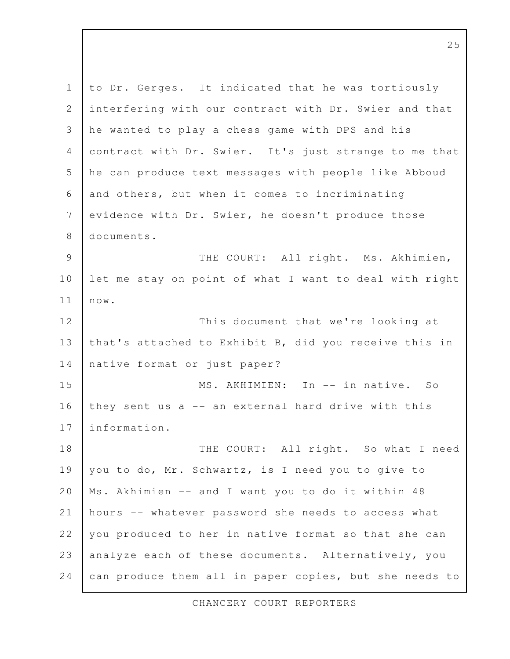to Dr. Gerges. It indicated that he was tortiously interfering with our contract with Dr. Swier and that he wanted to play a chess game with DPS and his contract with Dr. Swier. It's just strange to me that he can produce text messages with people like Abboud and others, but when it comes to incriminating evidence with Dr. Swier, he doesn't produce those documents. THE COURT: All right. Ms. Akhimien, let me stay on point of what I want to deal with right now. This document that we're looking at that's attached to Exhibit B, did you receive this in native format or just paper? MS. AKHIMIEN: In -- in native. So they sent us a -- an external hard drive with this information. THE COURT: All right. So what I need you to do, Mr. Schwartz, is I need you to give to Ms. Akhimien -- and I want you to do it within 48 hours -- whatever password she needs to access what you produced to her in native format so that she can analyze each of these documents. Alternatively, you can produce them all in paper copies, but she needs to 1 2 3 4 5 6 7 8 9 10 11 12 13 14 15 16 17 18 19 20 21 22 23 24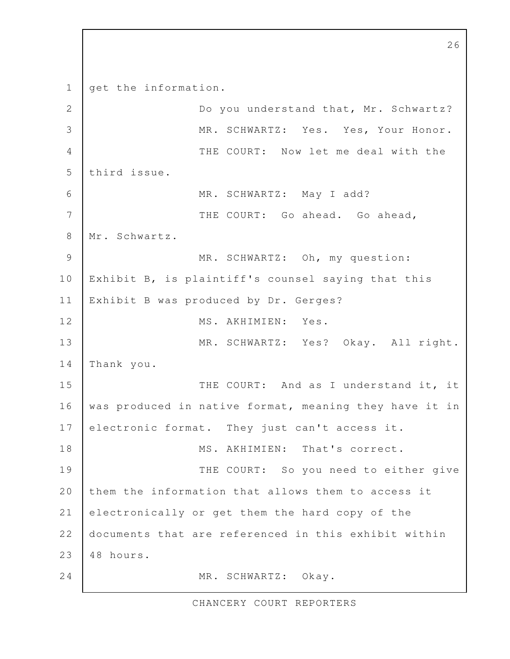get the information. Do you understand that, Mr. Schwartz? MR. SCHWARTZ: Yes. Yes, Your Honor. THE COURT: Now let me deal with the third issue. MR. SCHWARTZ: May I add? THE COURT: Go ahead. Go ahead, Mr. Schwartz. MR. SCHWARTZ: Oh, my question: Exhibit B, is plaintiff's counsel saying that this Exhibit B was produced by Dr. Gerges? MS. AKHIMIEN: Yes. MR. SCHWARTZ: Yes? Okay. All right. Thank you. THE COURT: And as I understand it, it was produced in native format, meaning they have it in electronic format. They just can't access it. MS. AKHIMIEN: That's correct. THE COURT: So you need to either give them the information that allows them to access it electronically or get them the hard copy of the documents that are referenced in this exhibit within 48 hours. MR. SCHWARTZ: Okay. 1 2 3 4 5 6 7 8 9 10 11 12 13 14 15 16 17 18 19 20 21 22 23 24

CHANCERY COURT REPORTERS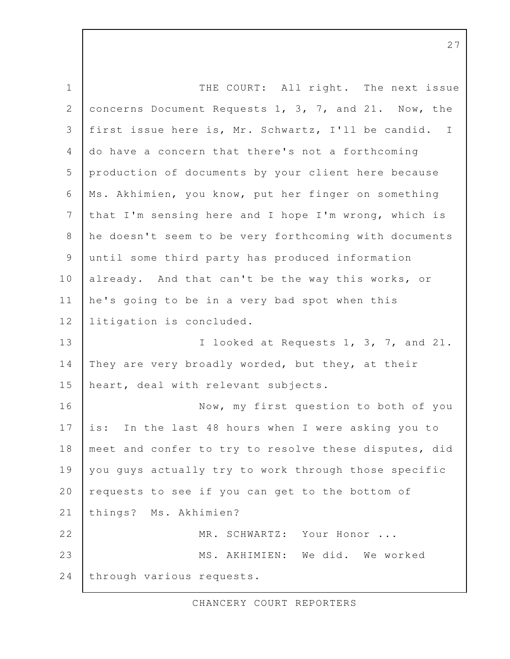THE COURT: All right. The next issue concerns Document Requests 1, 3, 7, and 21. Now, the first issue here is, Mr. Schwartz, I'll be candid. I do have a concern that there's not a forthcoming production of documents by your client here because Ms. Akhimien, you know, put her finger on something that I'm sensing here and I hope I'm wrong, which is he doesn't seem to be very forthcoming with documents until some third party has produced information already. And that can't be the way this works, or he's going to be in a very bad spot when this litigation is concluded. I looked at Requests 1, 3, 7, and 21. They are very broadly worded, but they, at their heart, deal with relevant subjects. Now, my first question to both of you is: In the last 48 hours when I were asking you to meet and confer to try to resolve these disputes, did you guys actually try to work through those specific requests to see if you can get to the bottom of things? Ms. Akhimien? MR. SCHWARTZ: Your Honor ... MS. AKHIMIEN: We did. We worked through various requests. 1 2 3 4 5 6 7 8 9 10 11 12 13 14 15 16 17 18 19 20 21 22 23 24

CHANCERY COURT REPORTERS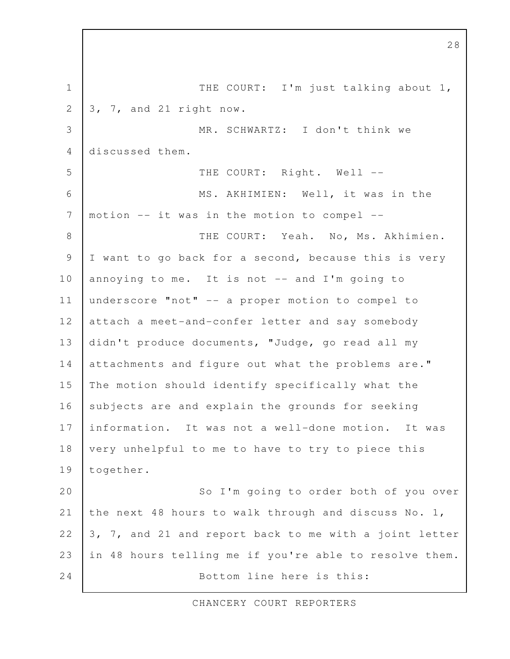THE COURT: I'm just talking about 1, 3, 7, and 21 right now. MR. SCHWARTZ: I don't think we discussed them. THE COURT: Right. Well --MS. AKHIMIEN: Well, it was in the motion -- it was in the motion to compel -- THE COURT: Yeah. No, Ms. Akhimien. I want to go back for a second, because this is very annoying to me. It is not -- and I'm going to underscore "not" -- a proper motion to compel to attach a meet-and-confer letter and say somebody didn't produce documents, "Judge, go read all my attachments and figure out what the problems are." The motion should identify specifically what the subjects are and explain the grounds for seeking information. It was not a well-done motion. It was very unhelpful to me to have to try to piece this together. So I'm going to order both of you over the next 48 hours to walk through and discuss No. 1, 3, 7, and 21 and report back to me with a joint letter in 48 hours telling me if you're able to resolve them. Bottom line here is this: 1 2 3 4 5 6 7 8 9 10 11 12 13 14 15 16 17 18 19 20 21 22 23 24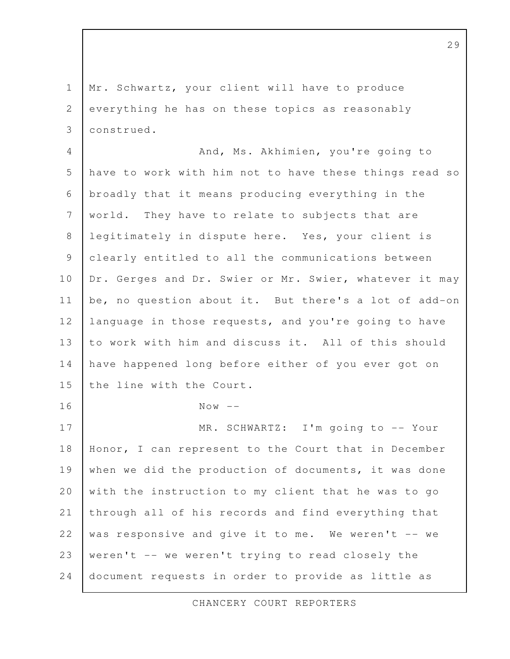Mr. Schwartz, your client will have to produce everything he has on these topics as reasonably construed. 1 2 3

And, Ms. Akhimien, you're going to have to work with him not to have these things read so broadly that it means producing everything in the world. They have to relate to subjects that are legitimately in dispute here. Yes, your client is clearly entitled to all the communications between Dr. Gerges and Dr. Swier or Mr. Swier, whatever it may be, no question about it. But there's a lot of add-on language in those requests, and you're going to have to work with him and discuss it. All of this should have happened long before either of you ever got on the line with the Court.  $Now --$ MR. SCHWARTZ: I'm going to -- Your Honor, I can represent to the Court that in December when we did the production of documents, it was done with the instruction to my client that he was to go through all of his records and find everything that was responsive and give it to me. We weren't -- we 4 5 6 7 8 9 10 11 12 13 14 15 16 17 18 19 20 21 22

document requests in order to provide as little as

weren't -- we weren't trying to read closely the

23

24

CHANCERY COURT REPORTERS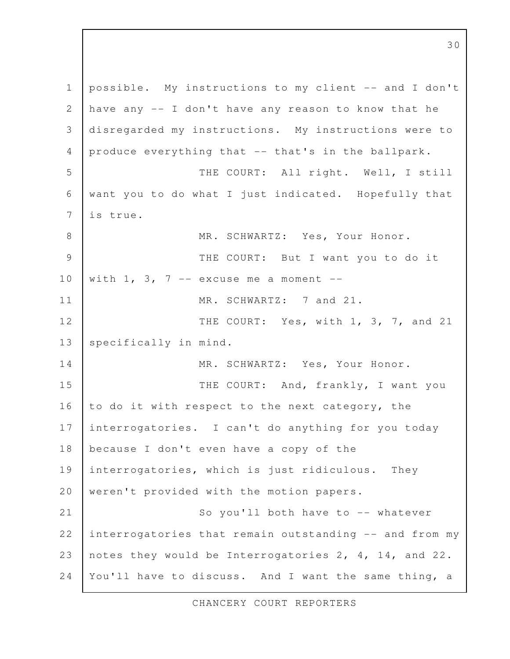possible. My instructions to my client -- and I don't have any -- I don't have any reason to know that he disregarded my instructions. My instructions were to produce everything that -- that's in the ballpark. THE COURT: All right. Well, I still want you to do what I just indicated. Hopefully that is true. MR. SCHWARTZ: Yes, Your Honor. THE COURT: But I want you to do it with  $1, 3, 7$  -- excuse me a moment --MR. SCHWARTZ: 7 and 21. THE COURT: Yes, with 1, 3, 7, and 21 specifically in mind. MR. SCHWARTZ: Yes, Your Honor. THE COURT: And, frankly, I want you to do it with respect to the next category, the interrogatories. I can't do anything for you today because I don't even have a copy of the interrogatories, which is just ridiculous. They weren't provided with the motion papers. So you'll both have to -- whatever interrogatories that remain outstanding -- and from my notes they would be Interrogatories 2, 4, 14, and 22. You'll have to discuss. And I want the same thing, a 1 2 3 4 5 6 7 8 9 10 11 12 13 14 15 16 17 18 19 20 21 22 23 24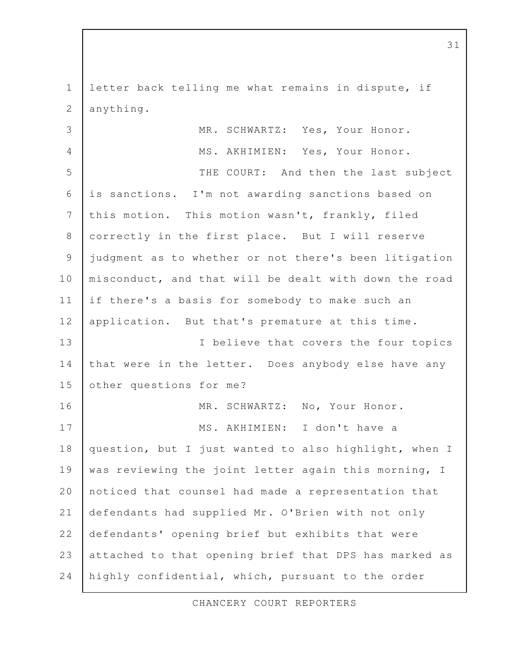letter back telling me what remains in dispute, if anything. 1 2

MR. SCHWARTZ: Yes, Your Honor. MS. AKHIMIEN: Yes, Your Honor. THE COURT: And then the last subject is sanctions. I'm not awarding sanctions based on this motion. This motion wasn't, frankly, filed correctly in the first place. But I will reserve judgment as to whether or not there's been litigation misconduct, and that will be dealt with down the road if there's a basis for somebody to make such an application. But that's premature at this time. I believe that covers the four topics that were in the letter. Does anybody else have any other questions for me? MR. SCHWARTZ: No, Your Honor. MS. AKHIMIEN: I don't have a question, but I just wanted to also highlight, when I was reviewing the joint letter again this morning, I noticed that counsel had made a representation that defendants had supplied Mr. O'Brien with not only defendants' opening brief but exhibits that were attached to that opening brief that DPS has marked as highly confidential, which, pursuant to the order 3 4 5 6 7 8 9 10 11 12 13 14 15 16 17 18 19 20 21 22 23 24

CHANCERY COURT REPORTERS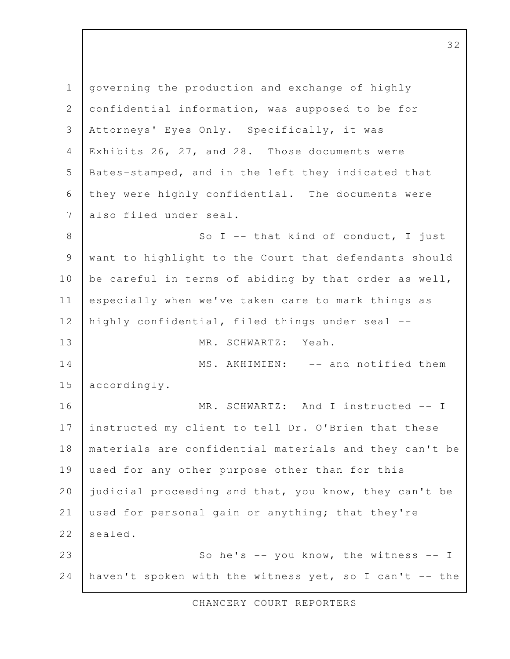governing the production and exchange of highly confidential information, was supposed to be for Attorneys' Eyes Only. Specifically, it was Exhibits 26, 27, and 28. Those documents were Bates-stamped, and in the left they indicated that they were highly confidential. The documents were also filed under seal. So  $I$  -- that kind of conduct, I just want to highlight to the Court that defendants should be careful in terms of abiding by that order as well, especially when we've taken care to mark things as highly confidential, filed things under seal -- MR. SCHWARTZ: Yeah. MS. AKHIMIEN: -- and notified them accordingly. MR. SCHWARTZ: And I instructed -- I instructed my client to tell Dr. O'Brien that these materials are confidential materials and they can't be used for any other purpose other than for this judicial proceeding and that, you know, they can't be used for personal gain or anything; that they're sealed. So he's  $-$  you know, the witness  $-$  I haven't spoken with the witness yet, so I can't -- the 1 2 3 4 5 6 7 8 9 10 11 12 13 14 15 16 17 18 19 20 21 22 23 24

CHANCERY COURT REPORTERS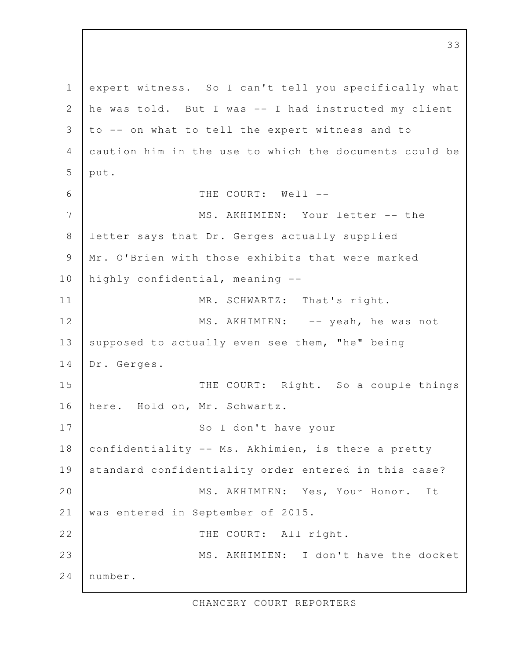expert witness. So I can't tell you specifically what he was told. But I was -- I had instructed my client to -- on what to tell the expert witness and to caution him in the use to which the documents could be put. THE COURT: Well --MS. AKHIMIEN: Your letter -- the letter says that Dr. Gerges actually supplied Mr. O'Brien with those exhibits that were marked highly confidential, meaning -- MR. SCHWARTZ: That's right. MS. AKHIMIEN: -- yeah, he was not supposed to actually even see them, "he" being Dr. Gerges. THE COURT: Right. So a couple things here. Hold on, Mr. Schwartz. So I don't have your confidentiality -- Ms. Akhimien, is there a pretty standard confidentiality order entered in this case? MS. AKHIMIEN: Yes, Your Honor. It was entered in September of 2015. THE COURT: All right. MS. AKHIMIEN: I don't have the docket number. 1 2 3 4 5 6 7 8 9 10 11 12 13 14 15 16 17 18 19 20 21 22 23 24

CHANCERY COURT REPORTERS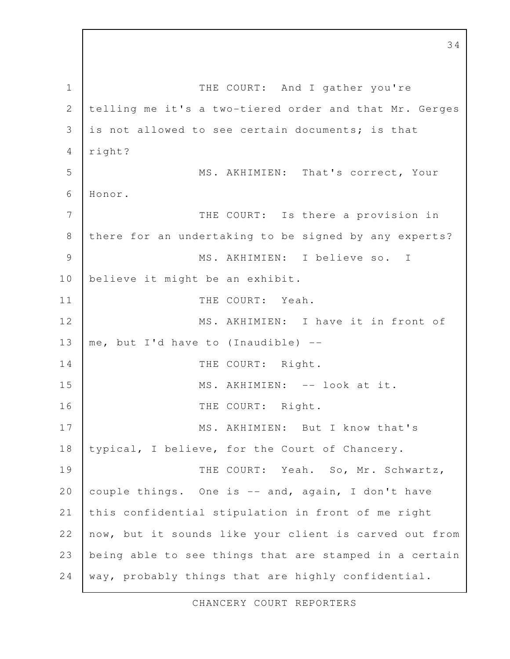THE COURT: And I gather you're telling me it's a two-tiered order and that Mr. Gerges is not allowed to see certain documents; is that right? MS. AKHIMIEN: That's correct, Your Honor. THE COURT: Is there a provision in there for an undertaking to be signed by any experts? MS. AKHIMIEN: I believe so. I believe it might be an exhibit. THE COURT: Yeah. MS. AKHIMIEN: I have it in front of me, but I'd have to (Inaudible) -- THE COURT: Right. MS. AKHIMIEN: -- look at it. THE COURT: Right. MS. AKHIMIEN: But I know that's typical, I believe, for the Court of Chancery. THE COURT: Yeah. So, Mr. Schwartz, couple things. One is -- and, again, I don't have this confidential stipulation in front of me right now, but it sounds like your client is carved out from being able to see things that are stamped in a certain way, probably things that are highly confidential. 1 2 3 4 5 6 7 8 9 10 11 12 13 14 15 16 17 18 19 20 21 22 23 24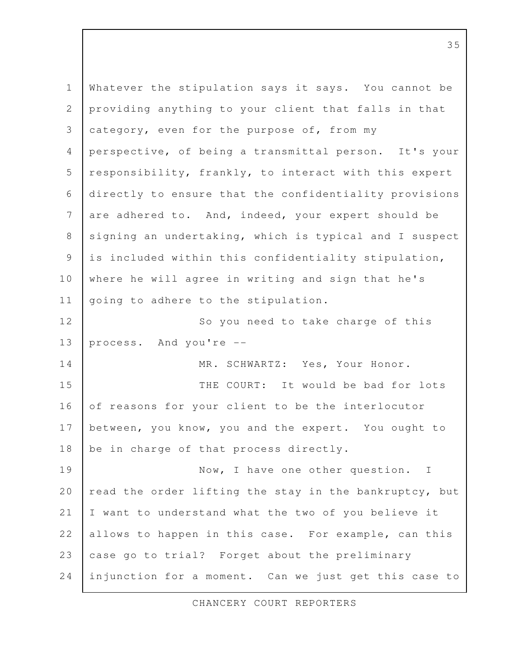Whatever the stipulation says it says. You cannot be providing anything to your client that falls in that category, even for the purpose of, from my perspective, of being a transmittal person. It's your responsibility, frankly, to interact with this expert directly to ensure that the confidentiality provisions are adhered to. And, indeed, your expert should be signing an undertaking, which is typical and I suspect is included within this confidentiality stipulation, where he will agree in writing and sign that he's going to adhere to the stipulation. So you need to take charge of this process. And you're -- MR. SCHWARTZ: Yes, Your Honor. THE COURT: It would be bad for lots of reasons for your client to be the interlocutor between, you know, you and the expert. You ought to be in charge of that process directly. Now, I have one other question. I read the order lifting the stay in the bankruptcy, but I want to understand what the two of you believe it allows to happen in this case. For example, can this case go to trial? Forget about the preliminary injunction for a moment. Can we just get this case to 1 2 3 4 5 6 7 8 9 10 11 12 13 14 15 16 17 18 19 20 21 22 23 24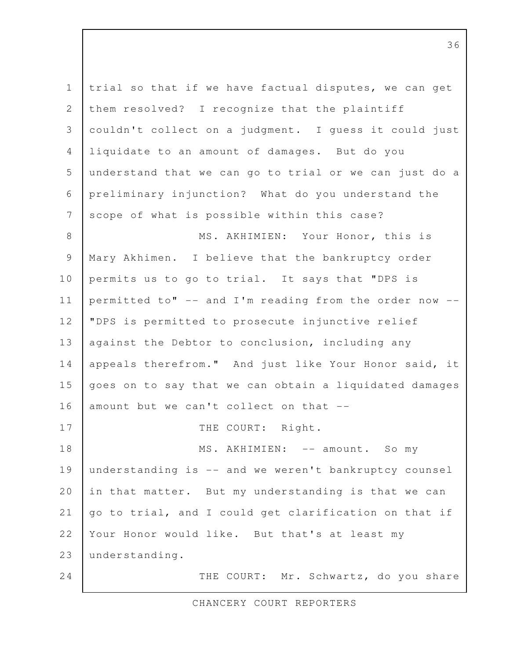trial so that if we have factual disputes, we can get them resolved? I recognize that the plaintiff couldn't collect on a judgment. I guess it could just liquidate to an amount of damages. But do you understand that we can go to trial or we can just do a preliminary injunction? What do you understand the scope of what is possible within this case? MS. AKHIMIEN: Your Honor, this is Mary Akhimen. I believe that the bankruptcy order permits us to go to trial. It says that "DPS is permitted to" -- and I'm reading from the order now -- "DPS is permitted to prosecute injunctive relief against the Debtor to conclusion, including any appeals therefrom." And just like Your Honor said, it goes on to say that we can obtain a liquidated damages amount but we can't collect on that -- THE COURT: Right. MS. AKHIMIEN: -- amount. So my understanding is -- and we weren't bankruptcy counsel in that matter. But my understanding is that we can go to trial, and I could get clarification on that if Your Honor would like. But that's at least my understanding. THE COURT: Mr. Schwartz, do you share 1 2 3 4 5 6 7 8 9 10 11 12 13 14 15 16 17 18 19 20 21 22 23 24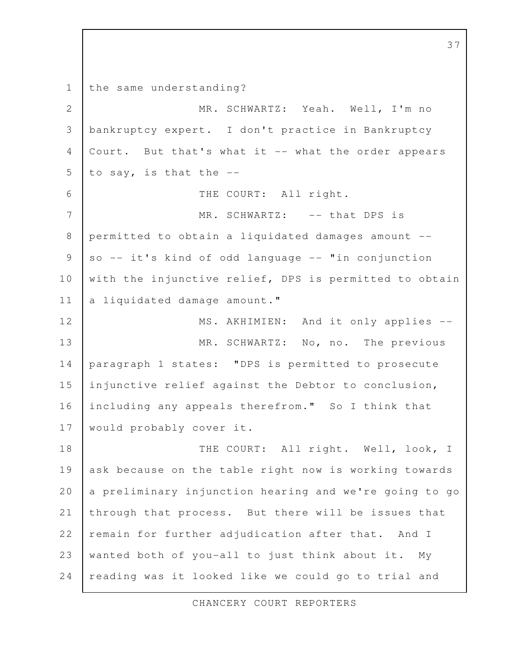the same understanding? MR. SCHWARTZ: Yeah. Well, I'm no bankruptcy expert. I don't practice in Bankruptcy Court. But that's what it -- what the order appears to say, is that the -- THE COURT: All right. MR. SCHWARTZ: -- that DPS is permitted to obtain a liquidated damages amount - so -- it's kind of odd language -- "in conjunction with the injunctive relief, DPS is permitted to obtain a liquidated damage amount." MS. AKHIMIEN: And it only applies --MR. SCHWARTZ: No, no. The previous paragraph 1 states: "DPS is permitted to prosecute injunctive relief against the Debtor to conclusion, including any appeals therefrom." So I think that would probably cover it. THE COURT: All right. Well, look, I ask because on the table right now is working towards a preliminary injunction hearing and we're going to go through that process. But there will be issues that remain for further adjudication after that. And I wanted both of you-all to just think about it. My reading was it looked like we could go to trial and 1 2 3 4 5 6 7 8 9 10 11 12 13 14 15 16 17 18 19 20 21 22 23 24

37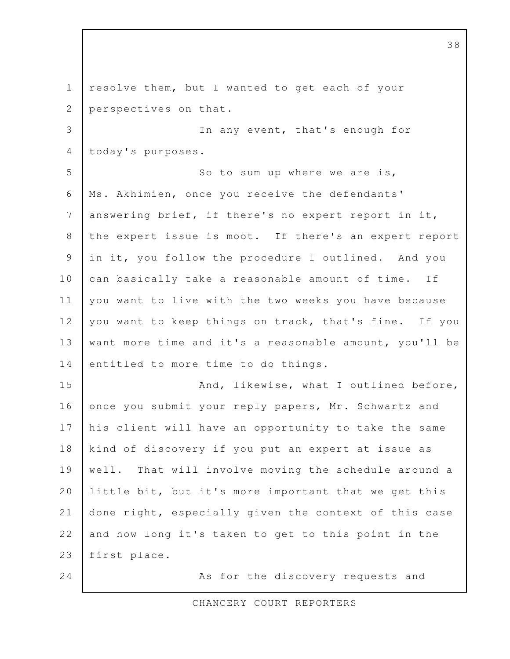resolve them, but I wanted to get each of your perspectives on that. In any event, that's enough for today's purposes. So to sum up where we are is, Ms. Akhimien, once you receive the defendants' answering brief, if there's no expert report in it, the expert issue is moot. If there's an expert report in it, you follow the procedure I outlined. And you can basically take a reasonable amount of time. If you want to live with the two weeks you have because you want to keep things on track, that's fine. If you want more time and it's a reasonable amount, you'll be entitled to more time to do things. And, likewise, what I outlined before, once you submit your reply papers, Mr. Schwartz and his client will have an opportunity to take the same kind of discovery if you put an expert at issue as well. That will involve moving the schedule around a little bit, but it's more important that we get this done right, especially given the context of this case and how long it's taken to get to this point in the first place. As for the discovery requests and 1 2 3 4 5 6 7 8 9 10 11 12 13 14 15 16 17 18 19 20 21 22 23 24

CHANCERY COURT REPORTERS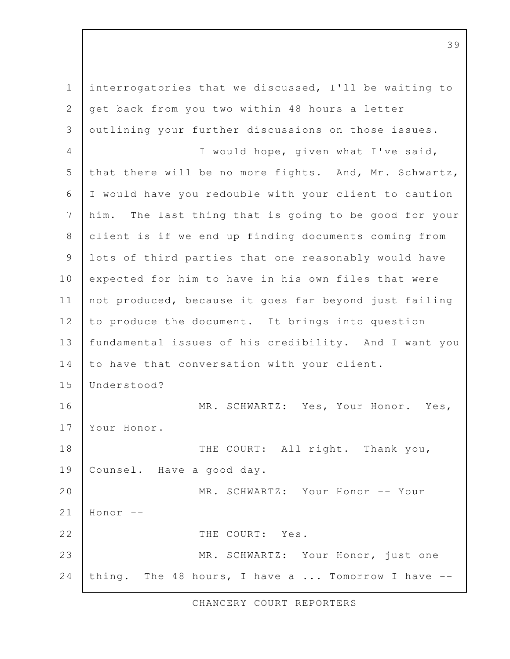interrogatories that we discussed, I'll be waiting to get back from you two within 48 hours a letter outlining your further discussions on those issues. I would hope, given what I've said, that there will be no more fights. And, Mr. Schwartz, I would have you redouble with your client to caution him. The last thing that is going to be good for your client is if we end up finding documents coming from lots of third parties that one reasonably would have expected for him to have in his own files that were not produced, because it goes far beyond just failing to produce the document. It brings into question fundamental issues of his credibility. And I want you to have that conversation with your client. Understood? MR. SCHWARTZ: Yes, Your Honor. Yes, Your Honor. THE COURT: All right. Thank you, Counsel. Have a good day. MR. SCHWARTZ: Your Honor -- Your Honor -- THE COURT: Yes. MR. SCHWARTZ: Your Honor, just one thing. The 48 hours, I have a ... Tomorrow I have -- 1 2 3 4 5 6 7 8 9 10 11 12 13 14 15 16 17 18 19 20 21 22 23 24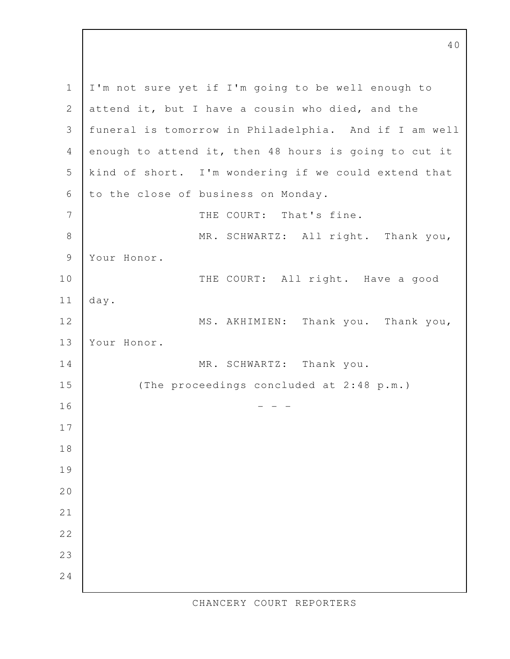I'm not sure yet if I'm going to be well enough to attend it, but I have a cousin who died, and the funeral is tomorrow in Philadelphia. And if I am well enough to attend it, then 48 hours is going to cut it kind of short. I'm wondering if we could extend that to the close of business on Monday. THE COURT: That's fine. MR. SCHWARTZ: All right. Thank you, Your Honor. THE COURT: All right. Have a good day. MS. AKHIMIEN: Thank you. Thank you, Your Honor. MR. SCHWARTZ: Thank you. (The proceedings concluded at 2:48 p.m.) - - - 1 2 3 4 5 6 7 8 9 10 11 12 13 14 15 16 17 18 19 20 21 22 23 24